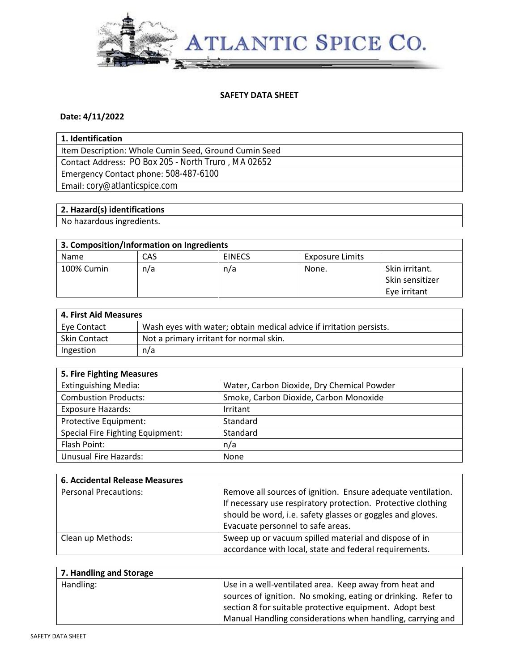

## **SAFETY DATA SHEET**

# **Date: 4/11/2022**

| 1. Identification                                     |
|-------------------------------------------------------|
| Item Description: Whole Cumin Seed, Ground Cumin Seed |
| Contact Address: PO Box 205 - North Truro, MA 02652   |
| Emergency Contact phone: 508-487-6100                 |
| Email: cory@atlanticspice.com                         |

# **2. Hazard(s) identifications**

No hazardous ingredients.

| 3. Composition/Information on Ingredients |     |               |                        |                 |
|-------------------------------------------|-----|---------------|------------------------|-----------------|
| Name                                      | CAS | <b>EINECS</b> | <b>Exposure Limits</b> |                 |
| 100% Cumin                                | n/a | n/a           | None.                  | Skin irritant.  |
|                                           |     |               |                        | Skin sensitizer |
|                                           |     |               |                        | Eve irritant    |

| 4. First Aid Measures |                                                                     |  |
|-----------------------|---------------------------------------------------------------------|--|
| Eye Contact           | Wash eyes with water; obtain medical advice if irritation persists. |  |
| Skin Contact          | Not a primary irritant for normal skin.                             |  |
| Ingestion             | n/a                                                                 |  |

| 5. Fire Fighting Measures               |                                            |
|-----------------------------------------|--------------------------------------------|
| <b>Extinguishing Media:</b>             | Water, Carbon Dioxide, Dry Chemical Powder |
| <b>Combustion Products:</b>             | Smoke, Carbon Dioxide, Carbon Monoxide     |
| <b>Exposure Hazards:</b>                | Irritant                                   |
| Protective Equipment:                   | Standard                                   |
| <b>Special Fire Fighting Equipment:</b> | Standard                                   |
| Flash Point:                            | n/a                                        |
| <b>Unusual Fire Hazards:</b>            | None                                       |

| <b>6. Accidental Release Measures</b> |                                                              |
|---------------------------------------|--------------------------------------------------------------|
| <b>Personal Precautions:</b>          | Remove all sources of ignition. Ensure adequate ventilation. |
|                                       | If necessary use respiratory protection. Protective clothing |
|                                       | should be word, i.e. safety glasses or goggles and gloves.   |
|                                       | Evacuate personnel to safe areas.                            |
| Clean up Methods:                     | Sweep up or vacuum spilled material and dispose of in        |
|                                       | accordance with local, state and federal requirements.       |

| 7. Handling and Storage |                                                               |
|-------------------------|---------------------------------------------------------------|
| Handling:               | Use in a well-ventilated area. Keep away from heat and        |
|                         | sources of ignition. No smoking, eating or drinking. Refer to |
|                         | section 8 for suitable protective equipment. Adopt best       |
|                         | Manual Handling considerations when handling, carrying and    |